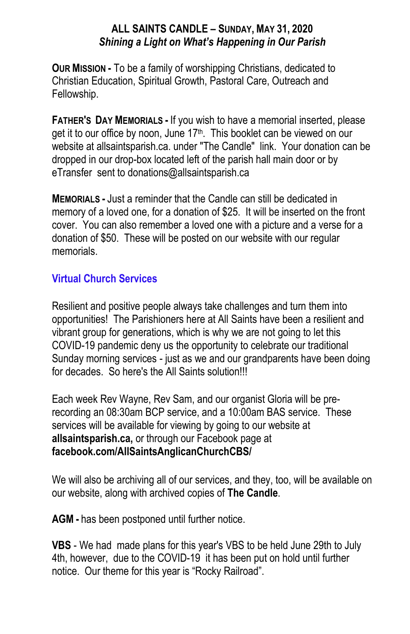### **ALL SAINTS CANDLE – SUNDAY, MAY 31, 2020** *Shining a Light on What's Happening in Our Parish*

**OUR MISSION -** To be a family of worshipping Christians, dedicated to Christian Education, Spiritual Growth, Pastoral Care, Outreach and Fellowship.

**FATHER'S DAY MEMORIALS -** If you wish to have a memorial inserted, please get it to our office by noon, June 17<sup>th</sup>. This booklet can be viewed on our website at allsaintsparish.ca. under "The Candle" link. Your donation can be dropped in our drop-box located left of the parish hall main door or by eTransfer sent to donations@allsaintsparish.ca

**MEMORIALS -** Just a reminder that the Candle can still be dedicated in memory of a loved one, for a donation of \$25. It will be inserted on the front cover. You can also remember a loved one with a picture and a verse for a donation of \$50. These will be posted on our website with our regular memorials.

## **Virtual Church Services**

Resilient and positive people always take challenges and turn them into opportunities! The Parishioners here at All Saints have been a resilient and vibrant group for generations, which is why we are not going to let this COVID-19 pandemic deny us the opportunity to celebrate our traditional Sunday morning services - just as we and our grandparents have been doing for decades. So here's the All Saints solution!!!

Each week Rev Wayne, Rev Sam, and our organist Gloria will be prerecording an 08:30am BCP service, and a 10:00am BAS service. These services will be available for viewing by going to our website at **allsaintsparish.ca,** or through our Facebook page at **facebook.com/AllSaintsAnglicanChurchCBS/**

We will also be archiving all of our services, and they, too, will be available on our website, along with archived copies of **The Candle**.

**AGM -** has been postponed until further notice.

**VBS** - We had made plans for this year's VBS to be held June 29th to July 4th, however, due to the COVID-19 it has been put on hold until further notice. Our theme for this year is "Rocky Railroad".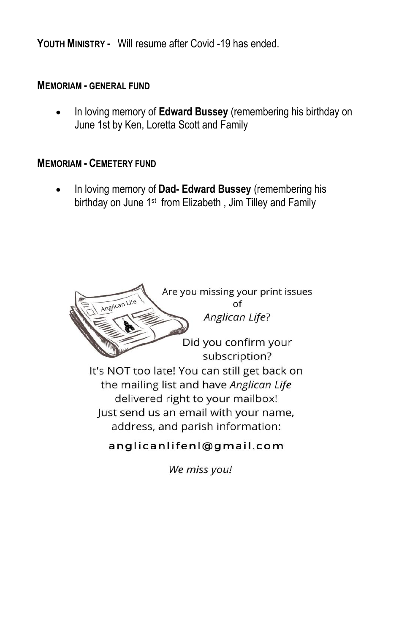**YOUTH MINISTRY -** Will resume after Covid -19 has ended.

#### **MEMORIAM - GENERAL FUND**

 In loving memory of **Edward Bussey** (remembering his birthday on June 1st by Ken, Loretta Scott and Family

#### **MEMORIAM - CEMETERY FUND**

 In loving memory of **Dad- Edward Bussey** (remembering his birthday on June 1<sup>st</sup> from Elizabeth, Jim Tilley and Family